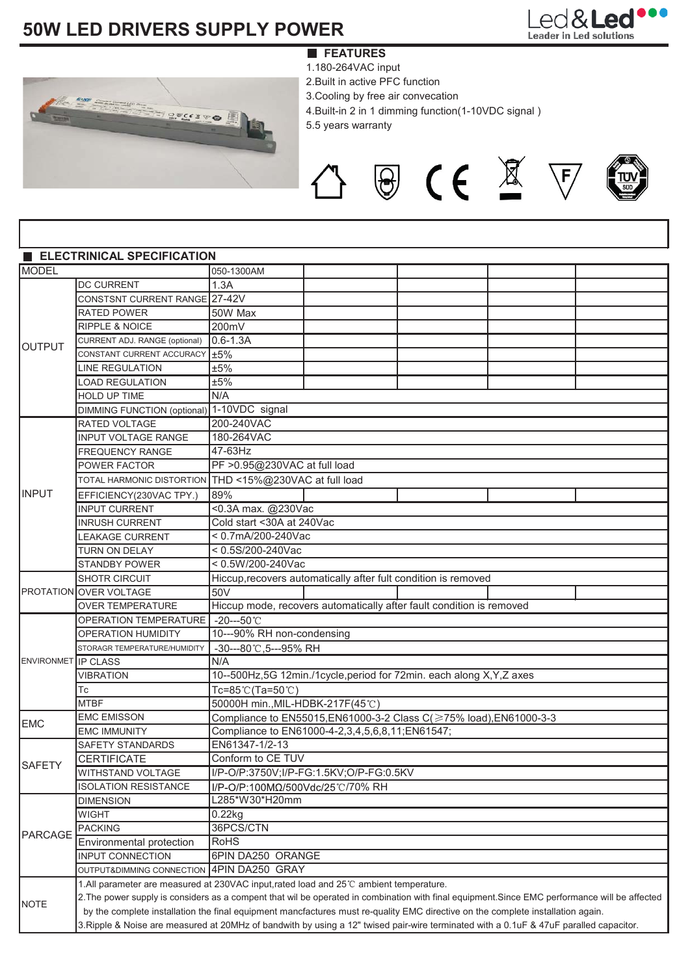# **50W LED DRIVERS SUPPLY POWER**



- 1.180-264VAC input
- 2.Built in active PFC function
- 3.Cooling by free air convecation
- 4.Built-in 2 in 1 dimming function(1-10VDC signal )

△ 图 C € 图 下

5.5 years warranty

|                            | <b>ELECTRINICAL SPECIFICATION</b>                                                                                                              |                                                                                                                                 |                                                                      |  |  |  |  |  |  |  |  |
|----------------------------|------------------------------------------------------------------------------------------------------------------------------------------------|---------------------------------------------------------------------------------------------------------------------------------|----------------------------------------------------------------------|--|--|--|--|--|--|--|--|
| <b>MODEL</b>               |                                                                                                                                                | 050-1300AM                                                                                                                      |                                                                      |  |  |  |  |  |  |  |  |
| <b>OUTPUT</b>              | <b>DC CURRENT</b>                                                                                                                              | 1.3A                                                                                                                            |                                                                      |  |  |  |  |  |  |  |  |
|                            | CONSTSNT CURRENT RANGE 27-42V                                                                                                                  |                                                                                                                                 |                                                                      |  |  |  |  |  |  |  |  |
|                            | <b>RATED POWER</b>                                                                                                                             | 50W Max                                                                                                                         |                                                                      |  |  |  |  |  |  |  |  |
|                            | <b>RIPPLE &amp; NOICE</b>                                                                                                                      | 200mV                                                                                                                           |                                                                      |  |  |  |  |  |  |  |  |
|                            | CURRENT ADJ. RANGE (optional)                                                                                                                  | $0.6 - 1.3A$                                                                                                                    |                                                                      |  |  |  |  |  |  |  |  |
|                            | CONSTANT CURRENT ACCURACY 15%                                                                                                                  |                                                                                                                                 |                                                                      |  |  |  |  |  |  |  |  |
|                            | <b>LINE REGULATION</b>                                                                                                                         | ±5%                                                                                                                             |                                                                      |  |  |  |  |  |  |  |  |
|                            | <b>LOAD REGULATION</b>                                                                                                                         | ±5%                                                                                                                             |                                                                      |  |  |  |  |  |  |  |  |
|                            | HOLD UP TIME                                                                                                                                   | N/A                                                                                                                             |                                                                      |  |  |  |  |  |  |  |  |
|                            | DIMMING FUNCTION (optional) 1-10VDC signal                                                                                                     |                                                                                                                                 |                                                                      |  |  |  |  |  |  |  |  |
| <b>INPUT</b>               | RATED VOLTAGE                                                                                                                                  | 200-240VAC                                                                                                                      |                                                                      |  |  |  |  |  |  |  |  |
|                            | INPUT VOLTAGE RANGE                                                                                                                            | 180-264VAC                                                                                                                      |                                                                      |  |  |  |  |  |  |  |  |
|                            | FREQUENCY RANGE                                                                                                                                | 47-63Hz                                                                                                                         |                                                                      |  |  |  |  |  |  |  |  |
|                            | POWER FACTOR                                                                                                                                   | PF > 0.95@230VAC at full load                                                                                                   |                                                                      |  |  |  |  |  |  |  |  |
|                            |                                                                                                                                                | TOTAL HARMONIC DISTORTION THD <15%@230VAC at full load                                                                          |                                                                      |  |  |  |  |  |  |  |  |
|                            | EFFICIENCY(230VAC TPY.)                                                                                                                        | 89%                                                                                                                             |                                                                      |  |  |  |  |  |  |  |  |
|                            | <b>INPUT CURRENT</b>                                                                                                                           | <0.3A max. @230Vac                                                                                                              |                                                                      |  |  |  |  |  |  |  |  |
|                            | <b>INRUSH CURRENT</b>                                                                                                                          | Cold start <30A at 240Vac                                                                                                       |                                                                      |  |  |  |  |  |  |  |  |
|                            | <b>LEAKAGE CURRENT</b>                                                                                                                         | < 0.7mA/200-240Vac                                                                                                              |                                                                      |  |  |  |  |  |  |  |  |
|                            | TURN ON DELAY                                                                                                                                  | < 0.5S/200-240Vac                                                                                                               |                                                                      |  |  |  |  |  |  |  |  |
|                            | <b>STANDBY POWER</b>                                                                                                                           | < 0.5W/200-240Vac                                                                                                               |                                                                      |  |  |  |  |  |  |  |  |
|                            | <b>SHOTR CIRCUIT</b>                                                                                                                           |                                                                                                                                 | Hiccup, recovers automatically after fult condition is removed       |  |  |  |  |  |  |  |  |
|                            | PROTATION OVER VOLTAGE                                                                                                                         | 50V                                                                                                                             |                                                                      |  |  |  |  |  |  |  |  |
|                            | OVER TEMPERATURE                                                                                                                               |                                                                                                                                 | Hiccup mode, recovers automatically after fault condition is removed |  |  |  |  |  |  |  |  |
|                            | OPERATION TEMPERATURE   -20---50°C                                                                                                             |                                                                                                                                 |                                                                      |  |  |  |  |  |  |  |  |
|                            | <b>OPERATION HUMIDITY</b>                                                                                                                      | 10---90% RH non-condensing                                                                                                      |                                                                      |  |  |  |  |  |  |  |  |
|                            | STORAGR TEMPERATURE/HUMIDITY                                                                                                                   | -30---80℃,5---95% RH                                                                                                            |                                                                      |  |  |  |  |  |  |  |  |
| <b>ENVIRONMET IP CLASS</b> |                                                                                                                                                | N/A                                                                                                                             |                                                                      |  |  |  |  |  |  |  |  |
|                            | <b>VIBRATION</b>                                                                                                                               | 10--500Hz,5G 12min./1cycle,period for 72min. each along X,Y,Z axes                                                              |                                                                      |  |  |  |  |  |  |  |  |
|                            | Тc                                                                                                                                             | Tc=85℃(Ta=50℃)                                                                                                                  |                                                                      |  |  |  |  |  |  |  |  |
|                            | <b>MTBF</b>                                                                                                                                    | 50000H min., MIL-HDBK-217F(45℃)                                                                                                 |                                                                      |  |  |  |  |  |  |  |  |
|                            | <b>EMC EMISSON</b>                                                                                                                             | Compliance to EN55015, EN61000-3-2 Class C(≥75% load), EN61000-3-3                                                              |                                                                      |  |  |  |  |  |  |  |  |
| <b>EMC</b>                 | <b>EMC IMMUNITY</b>                                                                                                                            | Compliance to EN61000-4-2,3,4,5,6,8,11;EN61547;                                                                                 |                                                                      |  |  |  |  |  |  |  |  |
| SAFETY                     | SAFETY STANDARDS                                                                                                                               | EN61347-1/2-13                                                                                                                  |                                                                      |  |  |  |  |  |  |  |  |
|                            | <b>CERTIFICATE</b>                                                                                                                             | Conform to CE TUV                                                                                                               |                                                                      |  |  |  |  |  |  |  |  |
|                            | WITHSTAND VOLTAGE                                                                                                                              | I/P-O/P:3750V;I/P-FG:1.5KV;O/P-FG:0.5KV                                                                                         |                                                                      |  |  |  |  |  |  |  |  |
|                            | <b>ISOLATION RESISTANCE</b>                                                                                                                    | I/P-O/P:100MΩ/500Vdc/25℃/70% RH                                                                                                 |                                                                      |  |  |  |  |  |  |  |  |
| PARCAGE                    | <b>DIMENSION</b>                                                                                                                               | L285*W30*H20mm                                                                                                                  |                                                                      |  |  |  |  |  |  |  |  |
|                            | <b>WIGHT</b>                                                                                                                                   | 0.22kg                                                                                                                          |                                                                      |  |  |  |  |  |  |  |  |
|                            | <b>PACKING</b>                                                                                                                                 | 36PCS/CTN                                                                                                                       |                                                                      |  |  |  |  |  |  |  |  |
|                            | Environmental protection                                                                                                                       | <b>RoHS</b>                                                                                                                     |                                                                      |  |  |  |  |  |  |  |  |
|                            | <b>INPUT CONNECTION</b>                                                                                                                        | 6PIN DA250 ORANGE                                                                                                               |                                                                      |  |  |  |  |  |  |  |  |
|                            | OUTPUT&DIMMING CONNECTION 4PIN DA250 GRAY                                                                                                      |                                                                                                                                 |                                                                      |  |  |  |  |  |  |  |  |
|                            | 1.All parameter are measured at 230VAC input, rated load and 25°C ambient temperature.                                                         |                                                                                                                                 |                                                                      |  |  |  |  |  |  |  |  |
| <b>NOTE</b>                | 2. The power supply is considers as a compent that wil be operated in combination with final equipment. Since EMC performance will be affected |                                                                                                                                 |                                                                      |  |  |  |  |  |  |  |  |
|                            |                                                                                                                                                | by the complete installation the final equipment mancfactures must re-quality EMC directive on the complete installation again. |                                                                      |  |  |  |  |  |  |  |  |
|                            | 3. Ripple & Noise are measured at 20MHz of bandwith by using a 12" twised pair-wire terminated with a 0.1uF & 47uF paralled capacitor.         |                                                                                                                                 |                                                                      |  |  |  |  |  |  |  |  |

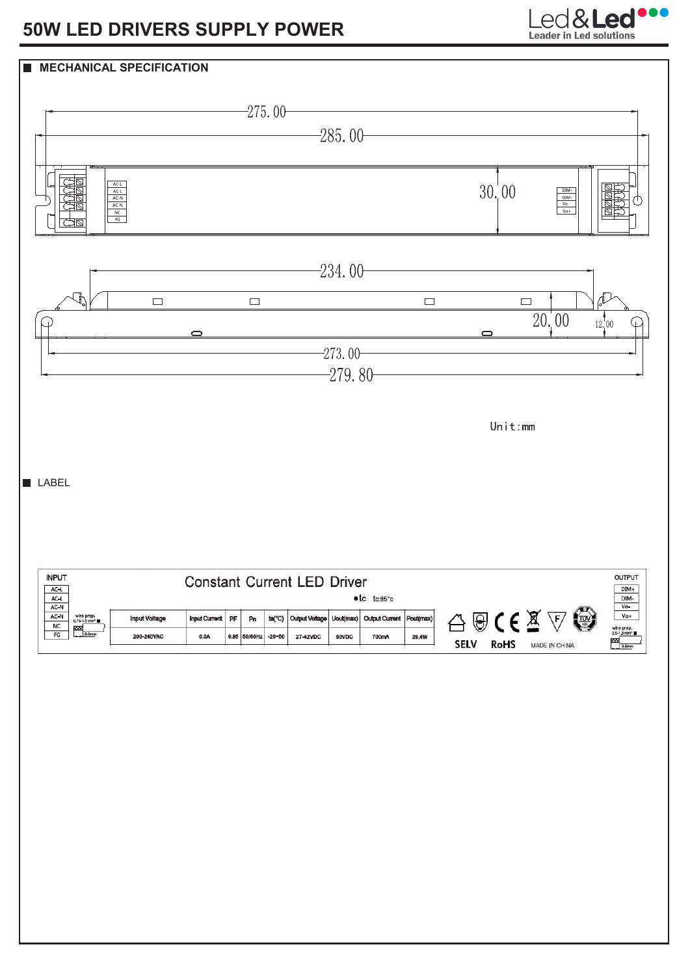## **50W LED DRIVERS SUPPLY POWER**



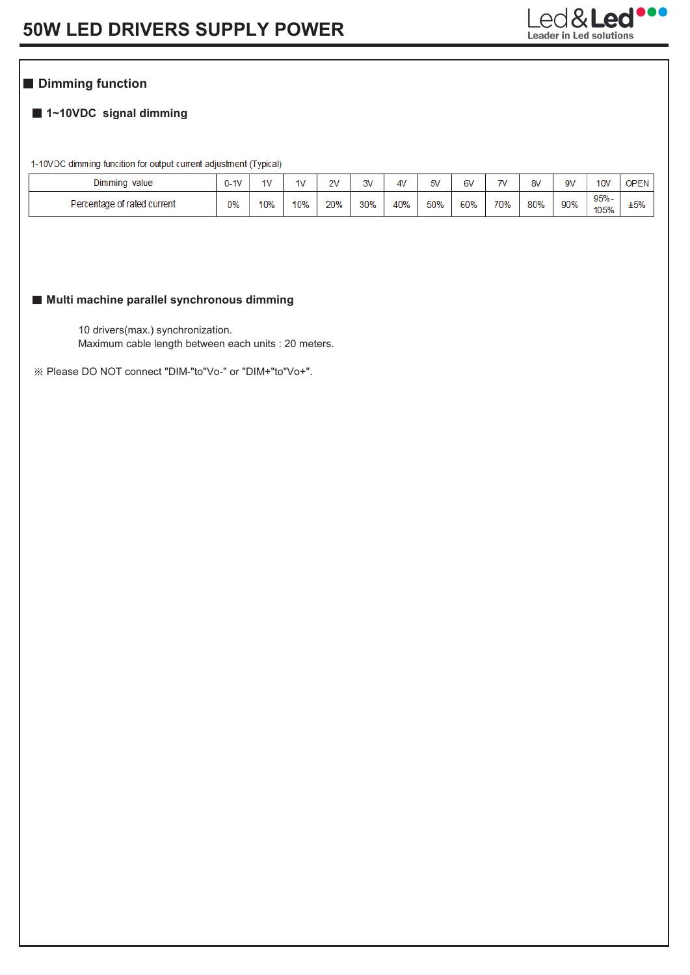

## **Dimming function**

### **1~10VDC signal dimming**

1-10VDC dimming funcition for output current adjustment (Typical)

| Dimming<br>value            | $J-1V$ | 1 <sub>V</sub> | 1V  | 2V  | 3V  | 4V  | 5V  | 6V  | 7V  | 8V  | 9V  | 10 <sub>v</sub> | <b>OPEN</b> |
|-----------------------------|--------|----------------|-----|-----|-----|-----|-----|-----|-----|-----|-----|-----------------|-------------|
| Percentage of rated current |        | 10%            | 10% | 20% | 30% | 40% | 50% | 60% | 70% | 80% | 90% | $95% -$<br>105% | ±5%         |

#### **Multi machine parallel synchronous dimming**

10 drivers(max.) synchronization. Maximum cable length between each units : 20 meters.

Please DO NOT connect "DIM-"to"Vo-" or "DIM+"to"Vo+".